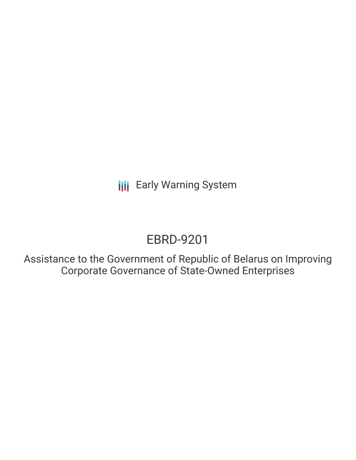**III** Early Warning System

# EBRD-9201

Assistance to the Government of Republic of Belarus on Improving Corporate Governance of State-Owned Enterprises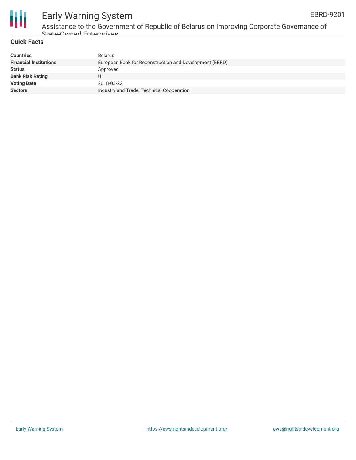

# Early Warning System

Assistance to the Government of Republic of Belarus on Improving Corporate Governance of State-Owned Enterprises

#### **Quick Facts**

| <b>Countries</b>              | <b>Belarus</b>                                          |
|-------------------------------|---------------------------------------------------------|
| <b>Financial Institutions</b> | European Bank for Reconstruction and Development (EBRD) |
| <b>Status</b>                 | Approved                                                |
| <b>Bank Risk Rating</b>       |                                                         |
| <b>Voting Date</b>            | 2018-03-22                                              |
| <b>Sectors</b>                | Industry and Trade, Technical Cooperation               |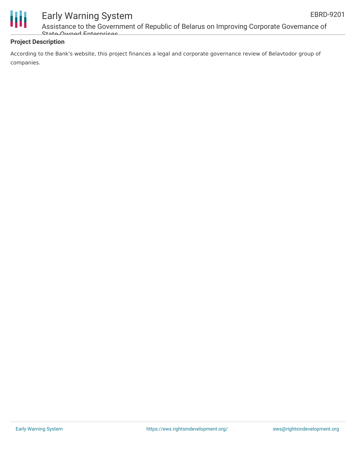

# Early Warning System

Assistance to the Government of Republic of Belarus on Improving Corporate Governance of State-Owned Enterprises

## **Project Description**

According to the Bank's website, this project finances a legal and corporate governance review of Belavtodor group of companies.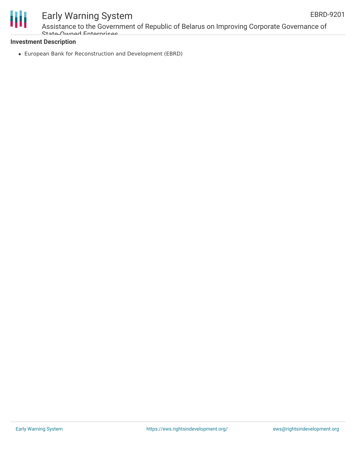

## Early Warning System

Assistance to the Government of Republic of Belarus on Improving Corporate Governance of State-Owned Enterprises

### **Investment Description**

European Bank for Reconstruction and Development (EBRD)